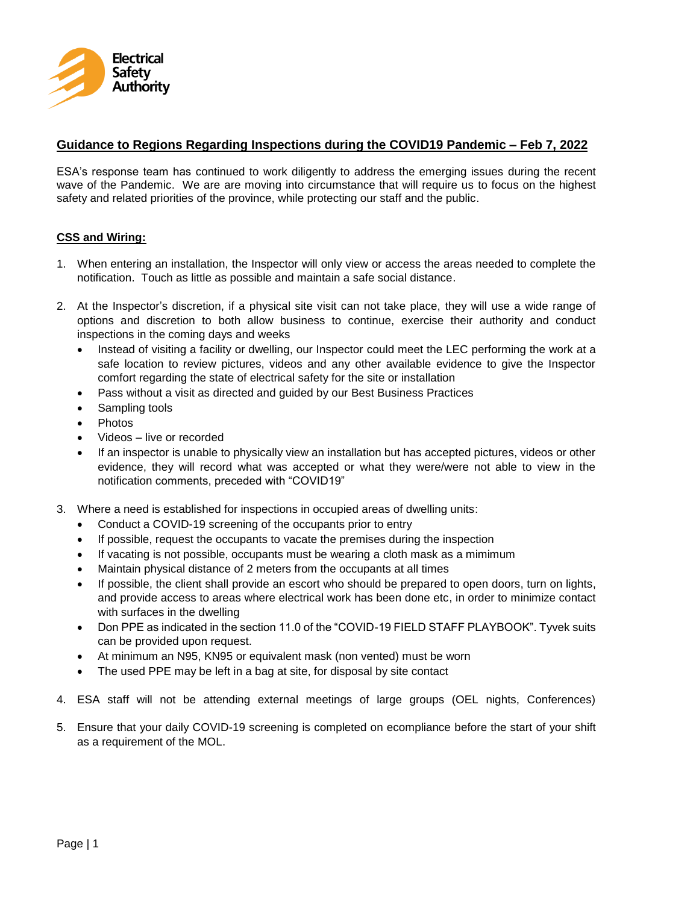

## **Guidance to Regions Regarding Inspections during the COVID19 Pandemic – Feb 7, 2022**

ESA's response team has continued to work diligently to address the emerging issues during the recent wave of the Pandemic. We are are moving into circumstance that will require us to focus on the highest safety and related priorities of the province, while protecting our staff and the public.

### **CSS and Wiring:**

- 1. When entering an installation, the Inspector will only view or access the areas needed to complete the notification. Touch as little as possible and maintain a safe social distance.
- 2. At the Inspector's discretion, if a physical site visit can not take place, they will use a wide range of options and discretion to both allow business to continue, exercise their authority and conduct inspections in the coming days and weeks
	- Instead of visiting a facility or dwelling, our Inspector could meet the LEC performing the work at a safe location to review pictures, videos and any other available evidence to give the Inspector comfort regarding the state of electrical safety for the site or installation
	- Pass without a visit as directed and guided by our Best Business Practices
	- Sampling tools
	- Photos
	- Videos live or recorded
	- If an inspector is unable to physically view an installation but has accepted pictures, videos or other evidence, they will record what was accepted or what they were/were not able to view in the notification comments, preceded with "COVID19"
- 3. Where a need is established for inspections in occupied areas of dwelling units:
	- Conduct a COVID-19 screening of the occupants prior to entry
	- If possible, request the occupants to vacate the premises during the inspection
	- If vacating is not possible, occupants must be wearing a cloth mask as a mimimum
	- Maintain physical distance of 2 meters from the occupants at all times
	- If possible, the client shall provide an escort who should be prepared to open doors, turn on lights, and provide access to areas where electrical work has been done etc, in order to minimize contact with surfaces in the dwelling
	- Don PPE as indicated in the section 11.0 of the "COVID-19 FIELD STAFF PLAYBOOK". Tyvek suits can be provided upon request.
	- At minimum an N95, KN95 or equivalent mask (non vented) must be worn
	- The used PPE may be left in a bag at site, for disposal by site contact
- 4. ESA staff will not be attending external meetings of large groups (OEL nights, Conferences)
- 5. Ensure that your daily COVID-19 screening is completed on ecompliance before the start of your shift as a requirement of the MOL.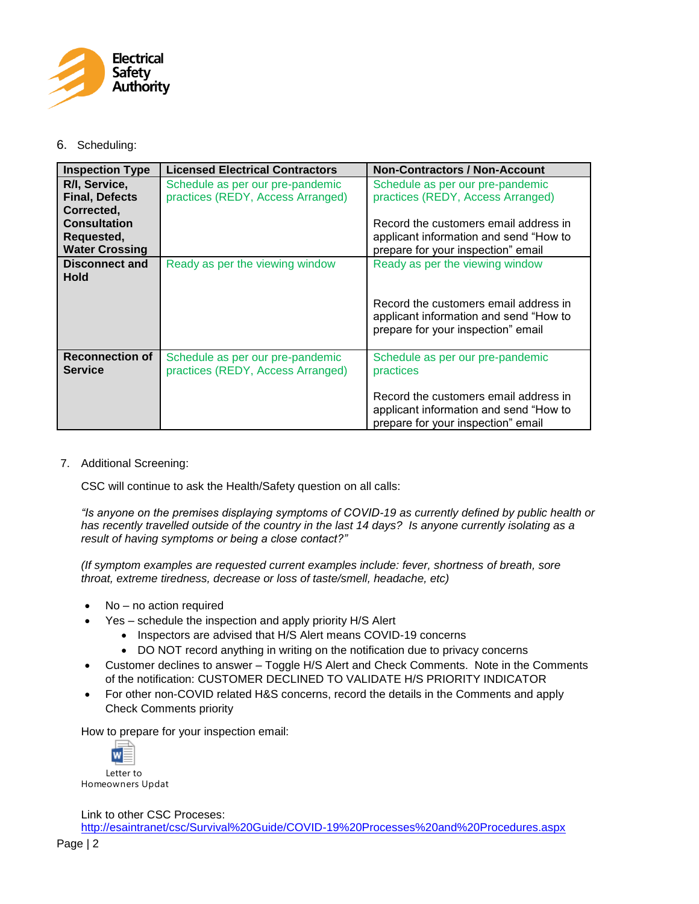

### 6. Scheduling:

| <b>Inspection Type</b>                                     | <b>Licensed Electrical Contractors</b>                                | <b>Non-Contractors / Non-Account</b>                                                                                  |
|------------------------------------------------------------|-----------------------------------------------------------------------|-----------------------------------------------------------------------------------------------------------------------|
| R/I, Service,<br><b>Final, Defects</b><br>Corrected,       | Schedule as per our pre-pandemic<br>practices (REDY, Access Arranged) | Schedule as per our pre-pandemic<br>practices (REDY, Access Arranged)                                                 |
| <b>Consultation</b><br>Requested,<br><b>Water Crossing</b> |                                                                       | Record the customers email address in<br>applicant information and send "How to<br>prepare for your inspection" email |
| Disconnect and<br><b>Hold</b>                              | Ready as per the viewing window                                       | Ready as per the viewing window                                                                                       |
|                                                            |                                                                       | Record the customers email address in<br>applicant information and send "How to<br>prepare for your inspection" email |
| <b>Reconnection of</b><br><b>Service</b>                   | Schedule as per our pre-pandemic<br>practices (REDY, Access Arranged) | Schedule as per our pre-pandemic<br>practices                                                                         |
|                                                            |                                                                       | Record the customers email address in<br>applicant information and send "How to<br>prepare for your inspection" email |

7. Additional Screening:

CSC will continue to ask the Health/Safety question on all calls:

*"Is anyone on the premises displaying symptoms of COVID-19 as currently defined by public health or has recently travelled outside of the country in the last 14 days? Is anyone currently isolating as a result of having symptoms or being a close contact?"*

*(If symptom examples are requested current examples include: fever, shortness of breath, sore throat, extreme tiredness, decrease or loss of taste/smell, headache, etc)*

- No no action required
- Yes schedule the inspection and apply priority H/S Alert
	- Inspectors are advised that H/S Alert means COVID-19 concerns
	- DO NOT record anything in writing on the notification due to privacy concerns
- Customer declines to answer Toggle H/S Alert and Check Comments. Note in the Comments of the notification: CUSTOMER DECLINED TO VALIDATE H/S PRIORITY INDICATOR
- For other non-COVID related H&S concerns, record the details in the Comments and apply Check Comments priority

How to prepare for your inspection email:



Homeowners Updat

Link to other CSC Proceses: <http://esaintranet/csc/Survival%20Guide/COVID-19%20Processes%20and%20Procedures.aspx>